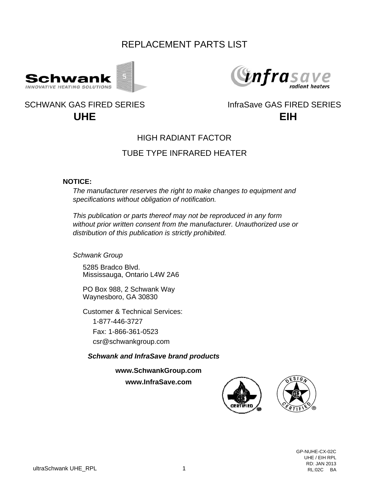# REPLACEMENT PARTS LIST





## **UHE** SCHWANK GAS FIRED SERIES INFRASAVE GAS FIRED SERIES



### HIGH RADIANT FACTOR

### TUBE TYPE INFRARED HEATER

#### **NOTICE:**

*The manufacturer reserves the right to make changes to equipment and specifications without obligation of notification.*

*This publication or parts thereof may not be reproduced in any form without prior written consent from the manufacturer. Unauthorized use or distribution of this publication is strictly prohibited.*

*Schwank Group*

5285 Bradco Blvd. Mississauga, Ontario L4W 2A6

PO Box 988, 2 Schwank Way Waynesboro, GA 30830

Customer & Technical Services: 1-877-446-3727 Fax: 1-866-361-0523 csr@schwankgroup.com

*Schwank and InfraSave brand products*

**www.SchwankGroup.com**

**www.InfraSave.com**

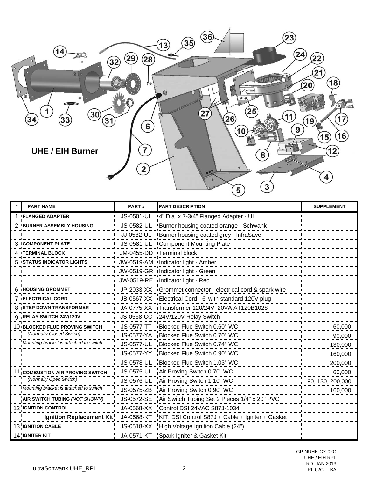

| <b>PART NAME</b>                       | PART#      | <b>PART DESCRIPTION</b>                                                                | <b>SUPPLEMENT</b> |
|----------------------------------------|------------|----------------------------------------------------------------------------------------|-------------------|
| <b>FLANGED ADAPTER</b>                 | JS-0501-UL | :4" Dia. x 7-3/4" Flanged Adapter - UL                                                 |                   |
| <b>BURNER ASSEMBLY HOUSING</b>         | JS-0582-UL | Burner housing coated orange - Schwank                                                 |                   |
|                                        | JJ-0582-UL | Burner housing coated grey - InfraSave                                                 |                   |
| <b>3 COMPONENT PLATE</b>               | JS-0581-UL | Component Mounting Plate                                                               |                   |
| <b>4 :TERMINAL BLOCK</b>               |            | JM-0455-DD Terminal block                                                              |                   |
| 5 STATUS INDICATOR LIGHTS              |            | JW-0519-AM Indicator light - Amber                                                     |                   |
|                                        |            | JW-0519-GR Indicator light - Green                                                     |                   |
|                                        |            |                                                                                        |                   |
| <b>HOUSING GROMMET</b>                 |            | JP-2033-XX : Grommet connector - electrical cord & spark wire                          |                   |
| <b>ELECTRICAL CORD</b>                 |            | JB-0567-XX : Electrical Cord - 6' with standard 120V plug                              |                   |
| 8 STEP DOWN TRANSFORMER                |            | JA-0775-XX :Transformer 120/24V, 20VA AT120B1028                                       |                   |
| <b>9 RELAY SWITCH 24V/120V</b>         |            | JS-0568-CC 24V/120V Relay Switch                                                       |                   |
| <b>10 BLOCKED FLUE PROVING SWITCH</b>  |            | JS-0577-TT : Blocked Flue Switch 0.60" WC                                              | 60,000            |
| (Normally Closed Switch)               |            | JS-0577-YA :Blocked Flue Switch 0.70" WC                                               | 90,000            |
| Mounting bracket is attached to switch |            | JS-0577-UL Blocked Flue Switch 0.74" WC                                                | 130,000           |
|                                        | JS-0577-YY | Blocked Flue Switch 0.90" WC                                                           | 160,000           |
|                                        |            | JS-0578-UL Blocked Flue Switch 1.03" WC                                                | 200,000           |
| 11 COMBUSTION AIR PROVING SWITCH       |            | JS-0575-UL Air Proving Switch 0.70" WC                                                 | 60,000            |
| (Normally Open Switch)                 |            | JS-0576-UL Air Proving Switch 1.10" WC                                                 | 90, 130, 200,000  |
| Mounting bracket is attached to switch | JS-0575-ZB | : Air Proving Switch 0.90" WC                                                          | 160,000           |
| <b>AIR SWITCH TUBING (NOT SHOWN)</b>   |            | JS-0572-SE : Air Switch Tubing Set 2 Pieces 1/4" x 20" PVC                             |                   |
| <b>12 IGNITION CONTROL</b>             |            | JA-0568-XX : Control DSI 24VAC S87J-1034                                               |                   |
|                                        |            | Ignition Replacement Kit! JA-0568-KT :KIT: DSI Control S87J + Cable + Igniter + Gasket |                   |
| <b>13 IGNITION CABLE</b>               |            | JS-0518-XX High Voltage Ignition Cable (24")                                           |                   |
| 14 IGNITER KIT                         |            | JA-0571-KT Spark Igniter & Gasket Kit                                                  |                   |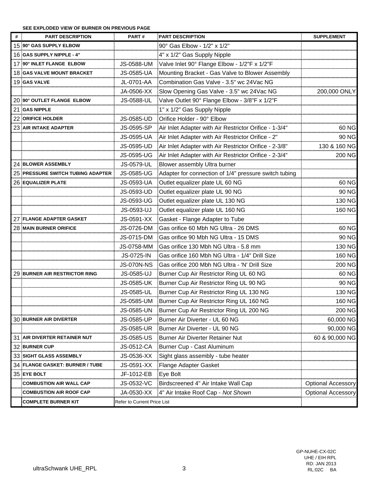#### **SEE EXPLODED VIEW OF BURNER ON PREVIOUS PAGE**

| <b>PART DESCRIPTION</b>             | PART#                       | <b>PART DESCRIPTION</b>                                           | <b>SUPPLEMENT</b>             |
|-------------------------------------|-----------------------------|-------------------------------------------------------------------|-------------------------------|
| 15:90° GAS SUPPLY ELBOW             |                             | 90° Gas Elbow - 1/2" x 1/2"                                       |                               |
| 16 GAS SUPPLY NIPPLE - 4            |                             | 4" x 1/2" Gas Supply Nipple                                       |                               |
| 17:90° INLET FLANGE ELBOW           |                             | JS-0588-UM Valve Inlet 90° Flange Elbow - 1/2"F x 1/2"F           |                               |
| 18 GAS VALVE MOUNT BRACKET          | JS-0585-UA                  | Mounting Bracket - Gas Valve to Blower Assembly                   |                               |
| 19 GAS VALVE                        | JL-0701-AA                  | :Combination Gas Valve - 3.5" wc 24Vac NG                         |                               |
|                                     | JA-0506-XX                  | Slow Opening Gas Valve - 3.5" wc 24Vac NG                         | 200,000 ONLY                  |
| 20:90° OUTLET FLANGE ELBOW          | JS-0588-UL                  | Valve Outlet 90° Flange Elbow - 3/8"F x 1/2"F                     |                               |
| 21.GAS NIPPLE                       |                             | 1" x 1/2" Gas Supply Nipple                                       |                               |
| 22: ORIFICE HOLDER                  | JS-0585-UD                  | Orifice Holder - 90° Elbow                                        |                               |
| 23: AIR INTAKE ADAPTER              | JS-0595-SP                  | Air Inlet Adapter with Air Restrictor Orifice - 1-3/4"            | 60 NG                         |
|                                     |                             | JS-0595-UA : Air Inlet Adapter with Air Restrictor Orifice - 2"   | 90 NG                         |
|                                     | JS-0595-UD                  | Air Inlet Adapter with Air Restrictor Orifice - 2-3/8"            | 130 & 160 NG                  |
|                                     |                             | JS-0595-UG Air Inlet Adapter with Air Restrictor Orifice - 2-3/4" | 200 NG                        |
| 24 BLOWER ASSEMBLY                  | JS-0579-UL                  | Blower assembly Ultra burner                                      |                               |
| 25 PRESSURE SWITCH TUBING           |                             | JS-0585-UG Adapter for connection of 1/4" pressure switch tubing  |                               |
| <b>26 EQUALIZER PLATE</b>           | JS-0593-UA                  | Outlet equalizer plate UL 60 NG                                   | 60 NG                         |
|                                     | JS-0593-UD                  | Outlet equalizer plate UL 90 NG                                   | 90 NG                         |
|                                     |                             | JS-0593-UG : Outlet equalizer plate UL 130 NG                     | 130 NG                        |
|                                     |                             | JS-0593-UJ : Outlet equalizer plate UL 160 NG                     | 160 NG                        |
| 27 FLANGE ADAPTER GASKET            |                             | JS-0591-XX Gasket - Flange Adapter to Tube                        |                               |
| <b>28 MAIN BURNER ORIFICE</b>       |                             | JS-0726-DM Gas orifice 60 Mbh NG Ultra - 26 DMS                   | 60 NG                         |
|                                     |                             | JS-0715-DM Gas orifice 90 Mbh NG Ultra - 15 DMS                   | 90 NG                         |
|                                     |                             | JS-0758-MM : Gas orifice 130 Mbh NG Ultra - 5.8 mm                | 130 NG<br>                    |
|                                     | JS-0725-IN                  | :Gas orifice 160 Mbh NG Ultra - 1/4" Drill Size                   | 160 NG                        |
|                                     |                             | JS-070N-NS : Gas orifice 200 Mbh NG Ultra - 'N' Drill Size        | 200 NG                        |
| 29 BURNER AIR RESTRICTOR RING       |                             | JS-0585-UJ Burner Cup Air Restrictor Ring UL 60 NG                | 60 NG<br>                     |
|                                     |                             | JS-0585-UK Burner Cup Air Restrictor Ring UL 90 NG                | 90 NG                         |
|                                     |                             | JS-0585-UL : Burner Cup Air Restrictor Ring UL 130 NG             | 130 NG                        |
|                                     |                             | JS-0585-UM Burner Cup Air Restrictor Ring UL 160 NG               | 160 NG                        |
|                                     | JS-0585-UN                  | Burner Cup Air Restrictor Ring UL 200 NG                          | 200 NG                        |
| <b>30 BURNER AIR DIVERTER</b>       | JS-0585-UP                  | Burner Air Diverter - UL 60 NG                                    | 60,000 NG                     |
|                                     |                             | JS-0585-UR Burner Air Diverter - UL 90 NG                         | 90,000 NG                     |
| <b>31 AIR DIVERTER RETAINER NUT</b> | JS-0585-US-                 | Burner Air Diverter Retainer Nut                                  | 60 & 90,000 NG                |
| <b>32 BURNER CUP</b>                |                             | JS-0512-CA Burner Cup - Cast Aluminum                             |                               |
| 33 SIGHT GLASS ASSEMBLY             |                             |                                                                   |                               |
| 34 FLANGE GASKET: BURNER / TUBE     |                             | JS-0591-XX Flange Adapter Gasket                                  |                               |
| 35 EYE BOLT                         | JF-1012-EB                  | Eye Bolt                                                          |                               |
| <b>COMBUSTION AIR WALL CAP</b>      | JS-0532-VC                  | Birdscreened 4" Air Intake Wall Cap                               | <b>Optional Accessory</b><br> |
| <b>COMBUSTION AIR ROOF CAP</b>      |                             | JA-0530-XX 4" Air Intake Roof Cap - Not Shown                     | <b>Optional Accessory</b>     |
| <b>COMPLETE BURNER KIT</b>          | Refer to Current Price List |                                                                   |                               |